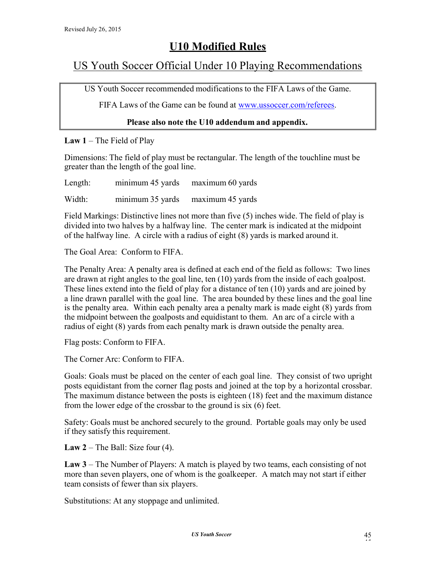# U10 Modified Rules

## US Youth Soccer Official Under 10 Playing Recommendations

US Youth Soccer recommended modifications to the FIFA Laws of the Game.

FIFA Laws of the Game can be found at www.ussoccer.com/referees.

### Please also note the U10 addendum and appendix.

Law  $1$  – The Field of Play

Dimensions: The field of play must be rectangular. The length of the touchline must be greater than the length of the goal line.

Length: minimum 45 yards maximum 60 yards

Width: minimum 35 yards maximum 45 yards

Field Markings: Distinctive lines not more than five (5) inches wide. The field of play is divided into two halves by a halfway line. The center mark is indicated at the midpoint of the halfway line. A circle with a radius of eight (8) yards is marked around it.

The Goal Area: Conform to FIFA.

The Penalty Area: A penalty area is defined at each end of the field as follows: Two lines are drawn at right angles to the goal line, ten (10) yards from the inside of each goalpost. These lines extend into the field of play for a distance of ten (10) yards and are joined by a line drawn parallel with the goal line. The area bounded by these lines and the goal line is the penalty area. Within each penalty area a penalty mark is made eight (8) yards from the midpoint between the goalposts and equidistant to them. An arc of a circle with a radius of eight (8) yards from each penalty mark is drawn outside the penalty area.

Flag posts: Conform to FIFA.

The Corner Arc: Conform to FIFA.

Goals: Goals must be placed on the center of each goal line. They consist of two upright posts equidistant from the corner flag posts and joined at the top by a horizontal crossbar. The maximum distance between the posts is eighteen (18) feet and the maximum distance from the lower edge of the crossbar to the ground is six (6) feet.

Safety: Goals must be anchored securely to the ground. Portable goals may only be used if they satisfy this requirement.

Law  $2$  – The Ball: Size four (4).

Law 3 – The Number of Players: A match is played by two teams, each consisting of not more than seven players, one of whom is the goalkeeper. A match may not start if either team consists of fewer than six players.

Substitutions: At any stoppage and unlimited.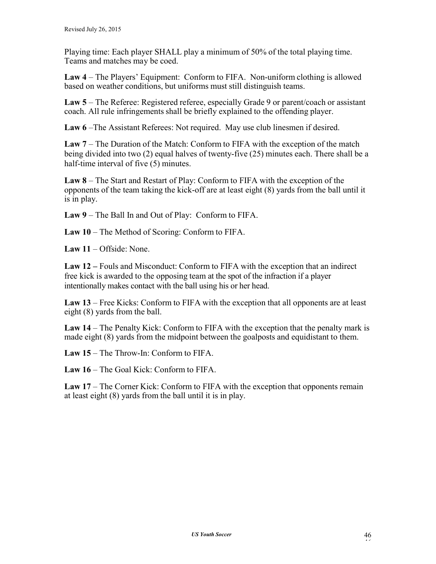Playing time: Each player SHALL play a minimum of 50% of the total playing time. Teams and matches may be coed.

Law 4 – The Players' Equipment: Conform to FIFA. Non-uniform clothing is allowed based on weather conditions, but uniforms must still distinguish teams.

Law 5 – The Referee: Registered referee, especially Grade 9 or parent/coach or assistant coach. All rule infringements shall be briefly explained to the offending player.

Law 6 –The Assistant Referees: Not required. May use club linesmen if desired.

Law 7 – The Duration of the Match: Conform to FIFA with the exception of the match being divided into two (2) equal halves of twenty-five (25) minutes each. There shall be a half-time interval of five (5) minutes.

Law 8 – The Start and Restart of Play: Conform to FIFA with the exception of the opponents of the team taking the kick-off are at least eight (8) yards from the ball until it is in play.

Law 9 – The Ball In and Out of Play: Conform to FIFA.

Law 10 – The Method of Scoring: Conform to FIFA.

Law 11 – Offside: None.

Law 12 – Fouls and Misconduct: Conform to FIFA with the exception that an indirect free kick is awarded to the opposing team at the spot of the infraction if a player intentionally makes contact with the ball using his or her head.

Law 13 – Free Kicks: Conform to FIFA with the exception that all opponents are at least eight (8) yards from the ball.

Law 14 – The Penalty Kick: Conform to FIFA with the exception that the penalty mark is made eight (8) yards from the midpoint between the goalposts and equidistant to them.

Law 15 – The Throw-In: Conform to FIFA.

Law 16 – The Goal Kick: Conform to FIFA.

Law 17 – The Corner Kick: Conform to FIFA with the exception that opponents remain at least eight (8) yards from the ball until it is in play.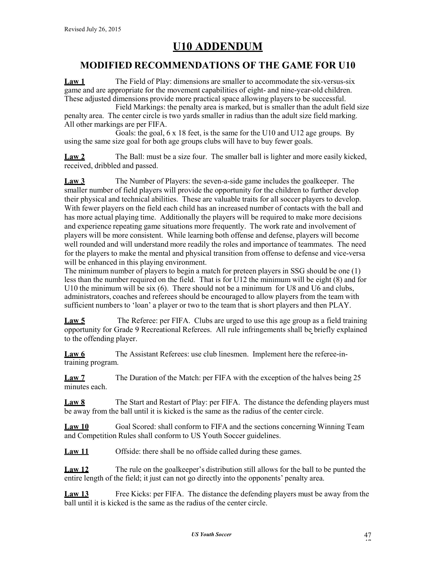## MODIFIED RECOMMENDATIONS OF THE GAME FOR U10

Law 1 The Field of Play: dimensions are smaller to accommodate the six-versus-six game and are appropriate for the movement capabilities of eight- and nine-year-old children. These adjusted dimensions provide more practical space allowing players to be successful.

Field Markings: the penalty area is marked, but is smaller than the adult field size penalty area. The center circle is two yards smaller in radius than the adult size field marking. All other markings are per FIFA.

Goals: the goal, 6 x 18 feet, is the same for the U10 and U12 age groups. By using the same size goal for both age groups clubs will have to buy fewer goals.

Law 2 The Ball: must be a size four. The smaller ball is lighter and more easily kicked, received, dribbled and passed.

Law 3 The Number of Players: the seven-a-side game includes the goalkeeper. The smaller number of field players will provide the opportunity for the children to further develop their physical and technical abilities. These are valuable traits for all soccer players to develop. With fewer players on the field each child has an increased number of contacts with the ball and has more actual playing time. Additionally the players will be required to make more decisions and experience repeating game situations more frequently. The work rate and involvement of players will be more consistent. While learning both offense and defense, players will become well rounded and will understand more readily the roles and importance of teammates. The need for the players to make the mental and physical transition from offense to defense and vice-versa will be enhanced in this playing environment.

The minimum number of players to begin a match for preteen players in SSG should be one (1) less than the number required on the field. That is for U12 the minimum will be eight (8) and for U10 the minimum will be six (6). There should not be a minimum for U8 and U6 and clubs, administrators, coaches and referees should be encouraged to allow players from the team with sufficient numbers to 'loan' a player or two to the team that is short players and then PLAY.

Law 5 The Referee: per FIFA. Clubs are urged to use this age group as a field training opportunity for Grade 9 Recreational Referees. All rule infringements shall be briefly explained to the offending player.

Law 6 The Assistant Referees: use club linesmen. Implement here the referee-intraining program.

Law 7 The Duration of the Match: per FIFA with the exception of the halves being 25 minutes each.

Law 8 The Start and Restart of Play: per FIFA. The distance the defending players must be away from the ball until it is kicked is the same as the radius of the center circle.

Law 10 Goal Scored: shall conform to FIFA and the sections concerning Winning Team and Competition Rules shall conform to US Youth Soccer guidelines.

Law 11 Offside: there shall be no offside called during these games.

Law 12 The rule on the goalkeeper's distribution still allows for the ball to be punted the entire length of the field; it just can not go directly into the opponents' penalty area.

Law 13 Free Kicks: per FIFA. The distance the defending players must be away from the ball until it is kicked is the same as the radius of the center circle.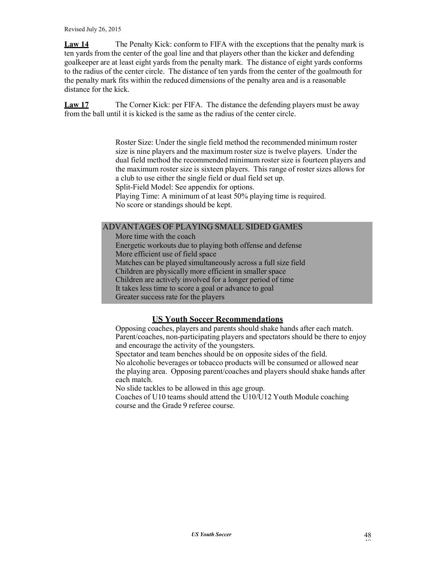Law 14 The Penalty Kick: conform to FIFA with the exceptions that the penalty mark is ten yards from the center of the goal line and that players other than the kicker and defending goalkeeper are at least eight yards from the penalty mark. The distance of eight yards conforms to the radius of the center circle. The distance of ten yards from the center of the goalmouth for the penalty mark fits within the reduced dimensions of the penalty area and is a reasonable distance for the kick.

Law 17 The Corner Kick: per FIFA. The distance the defending players must be away from the ball until it is kicked is the same as the radius of the center circle.

> Roster Size: Under the single field method the recommended minimum roster size is nine players and the maximum roster size is twelve players. Under the dual field method the recommended minimum roster size is fourteen players and the maximum roster size is sixteen players. This range of roster sizes allows for a club to use either the single field or dual field set up.

Split-Field Model: See appendix for options.

Playing Time: A minimum of at least 50% playing time is required. No score or standings should be kept.

### ADVANTAGES OF PLAYING SMALL SIDED GAMES

More time with the coach Energetic workouts due to playing both offense and defense More efficient use of field space Matches can be played simultaneously across a full size field Children are physically more efficient in smaller space Children are actively involved for a longer period of time It takes less time to score a goal or advance to goal Greater success rate for the players

## US Youth Soccer Recommendations

Opposing coaches, players and parents should shake hands after each match. Parent/coaches, non-participating players and spectators should be there to enjoy and encourage the activity of the youngsters.

Spectator and team benches should be on opposite sides of the field.

No alcoholic beverages or tobacco products will be consumed or allowed near the playing area. Opposing parent/coaches and players should shake hands after each match.

No slide tackles to be allowed in this age group.

Coaches of U10 teams should attend the U10/U12 Youth Module coaching course and the Grade 9 referee course.